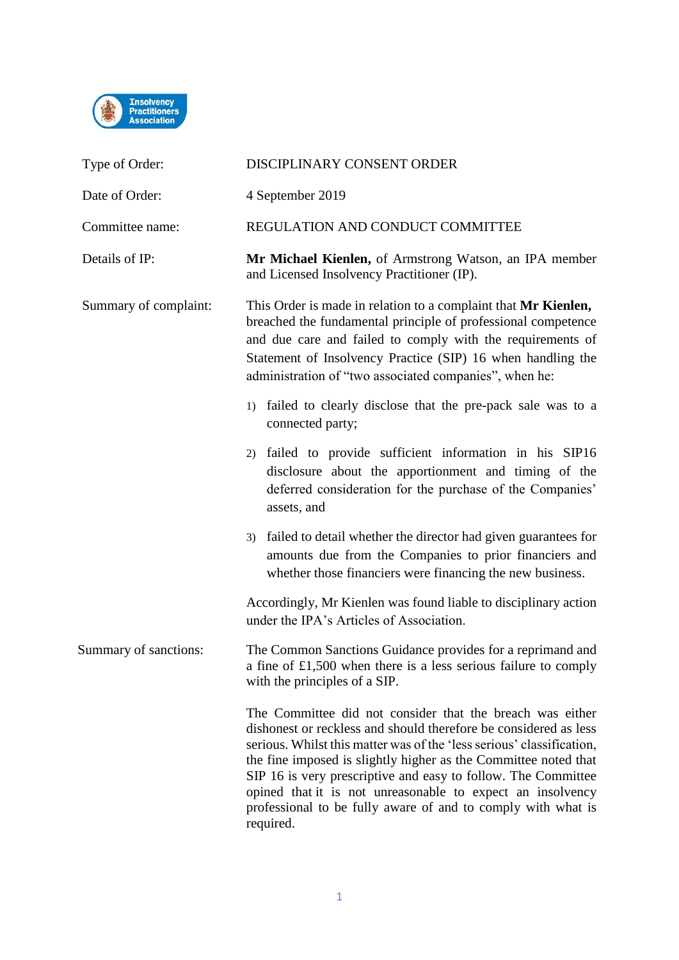

| Type of Order:        | DISCIPLINARY CONSENT ORDER                                                                                                                                                                                                                                                                                                                                                                                                                                                            |
|-----------------------|---------------------------------------------------------------------------------------------------------------------------------------------------------------------------------------------------------------------------------------------------------------------------------------------------------------------------------------------------------------------------------------------------------------------------------------------------------------------------------------|
| Date of Order:        | 4 September 2019                                                                                                                                                                                                                                                                                                                                                                                                                                                                      |
| Committee name:       | REGULATION AND CONDUCT COMMITTEE                                                                                                                                                                                                                                                                                                                                                                                                                                                      |
| Details of IP:        | Mr Michael Kienlen, of Armstrong Watson, an IPA member<br>and Licensed Insolvency Practitioner (IP).                                                                                                                                                                                                                                                                                                                                                                                  |
| Summary of complaint: | This Order is made in relation to a complaint that Mr Kienlen,<br>breached the fundamental principle of professional competence<br>and due care and failed to comply with the requirements of<br>Statement of Insolvency Practice (SIP) 16 when handling the<br>administration of "two associated companies", when he:                                                                                                                                                                |
|                       | 1) failed to clearly disclose that the pre-pack sale was to a<br>connected party;                                                                                                                                                                                                                                                                                                                                                                                                     |
|                       | failed to provide sufficient information in his SIP16<br>2)<br>disclosure about the apportionment and timing of the<br>deferred consideration for the purchase of the Companies'<br>assets, and                                                                                                                                                                                                                                                                                       |
|                       | 3) failed to detail whether the director had given guarantees for<br>amounts due from the Companies to prior financiers and<br>whether those financiers were financing the new business.                                                                                                                                                                                                                                                                                              |
|                       | Accordingly, Mr Kienlen was found liable to disciplinary action<br>under the IPA's Articles of Association.                                                                                                                                                                                                                                                                                                                                                                           |
| Summary of sanctions: | The Common Sanctions Guidance provides for a reprimand and<br>a fine of £1,500 when there is a less serious failure to comply<br>with the principles of a SIP.                                                                                                                                                                                                                                                                                                                        |
|                       | The Committee did not consider that the breach was either<br>dishonest or reckless and should therefore be considered as less<br>serious. Whilst this matter was of the 'less serious' classification,<br>the fine imposed is slightly higher as the Committee noted that<br>SIP 16 is very prescriptive and easy to follow. The Committee<br>opined that it is not unreasonable to expect an insolvency<br>professional to be fully aware of and to comply with what is<br>required. |